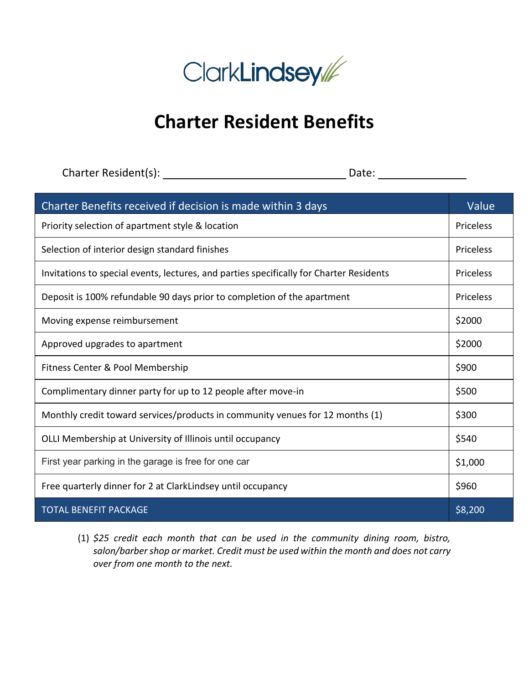

## **Charter Resident Benefits**

Charter Resident(s): Date:

| Charter Benefits received if decision is made within 3 days                             | Value            |
|-----------------------------------------------------------------------------------------|------------------|
| Priority selection of apartment style & location                                        | Priceless        |
| Selection of interior design standard finishes                                          | <b>Priceless</b> |
| Invitations to special events, lectures, and parties specifically for Charter Residents | <b>Priceless</b> |
| Deposit is 100% refundable 90 days prior to completion of the apartment                 | <b>Priceless</b> |
| Moving expense reimbursement                                                            | \$2000           |
| Approved upgrades to apartment                                                          | \$2000           |
| Fitness Center & Pool Membership                                                        | \$900            |
| Complimentary dinner party for up to 12 people after move-in                            | \$500            |
| Monthly credit toward services/products in community venues for 12 months (1)           | \$300            |
| OLLI Membership at University of Illinois until occupancy                               | \$540            |
| First year parking in the garage is free for one car                                    | \$1,000          |
| Free quarterly dinner for 2 at ClarkLindsey until occupancy                             | \$960            |
| <b>TOTAL BENEFIT PACKAGE</b>                                                            | \$8,200          |

(1) *\$25 credit each month that can be used in the community dining room, bistro, salon/barber shop or market. Credit must be used within the month and does not carry over from one month to the next.*